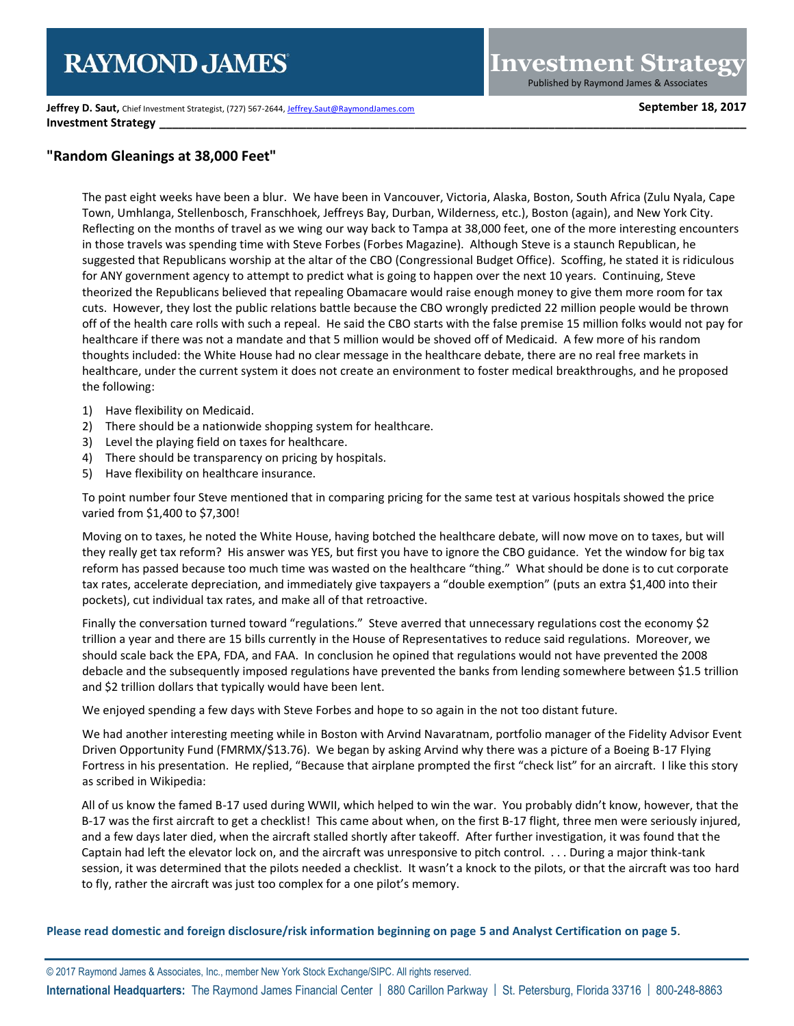**Jeffrey D. Saut, Chief Investment Strategist, (727) 567-2644[, Jeffrey.Saut@RaymondJames.com](mailto:Jeffrey.Saut@RaymondJames.com) September 18, 2017 Investment Strategy** 

## **"Random Gleanings at 38,000 Feet"**

The past eight weeks have been a blur. We have been in Vancouver, Victoria, Alaska, Boston, South Africa (Zulu Nyala, Cape Town, Umhlanga, Stellenbosch, Franschhoek, Jeffreys Bay, Durban, Wilderness, etc.), Boston (again), and New York City. Reflecting on the months of travel as we wing our way back to Tampa at 38,000 feet, one of the more interesting encounters in those travels was spending time with Steve Forbes (Forbes Magazine). Although Steve is a staunch Republican, he suggested that Republicans worship at the altar of the CBO (Congressional Budget Office). Scoffing, he stated it is ridiculous for ANY government agency to attempt to predict what is going to happen over the next 10 years. Continuing, Steve theorized the Republicans believed that repealing Obamacare would raise enough money to give them more room for tax cuts. However, they lost the public relations battle because the CBO wrongly predicted 22 million people would be thrown off of the health care rolls with such a repeal. He said the CBO starts with the false premise 15 million folks would not pay for healthcare if there was not a mandate and that 5 million would be shoved off of Medicaid. A few more of his random thoughts included: the White House had no clear message in the healthcare debate, there are no real free markets in healthcare, under the current system it does not create an environment to foster medical breakthroughs, and he proposed the following:

- 1) Have flexibility on Medicaid.
- 2) There should be a nationwide shopping system for healthcare.
- 3) Level the playing field on taxes for healthcare.
- 4) There should be transparency on pricing by hospitals.
- 5) Have flexibility on healthcare insurance.

To point number four Steve mentioned that in comparing pricing for the same test at various hospitals showed the price varied from \$1,400 to \$7,300!

Moving on to taxes, he noted the White House, having botched the healthcare debate, will now move on to taxes, but will they really get tax reform? His answer was YES, but first you have to ignore the CBO guidance. Yet the window for big tax reform has passed because too much time was wasted on the healthcare "thing." What should be done is to cut corporate tax rates, accelerate depreciation, and immediately give taxpayers a "double exemption" (puts an extra \$1,400 into their pockets), cut individual tax rates, and make all of that retroactive.

Finally the conversation turned toward "regulations." Steve averred that unnecessary regulations cost the economy \$2 trillion a year and there are 15 bills currently in the House of Representatives to reduce said regulations. Moreover, we should scale back the EPA, FDA, and FAA. In conclusion he opined that regulations would not have prevented the 2008 debacle and the subsequently imposed regulations have prevented the banks from lending somewhere between \$1.5 trillion and \$2 trillion dollars that typically would have been lent.

We enjoyed spending a few days with Steve Forbes and hope to so again in the not too distant future.

We had another interesting meeting while in Boston with Arvind Navaratnam, portfolio manager of the Fidelity Advisor Event Driven Opportunity Fund (FMRMX/\$13.76). We began by asking Arvind why there was a picture of a Boeing B-17 Flying Fortress in his presentation. He replied, "Because that airplane prompted the first "check list" for an aircraft. I like this story as scribed in Wikipedia:

All of us know the famed B-17 used during WWII, which helped to win the war. You probably didn't know, however, that the B-17 was the first aircraft to get a checklist! This came about when, on the first B-17 flight, three men were seriously injured, and a few days later died, when the aircraft stalled shortly after takeoff. After further investigation, it was found that the Captain had left the elevator lock on, and the aircraft was unresponsive to pitch control. . . . During a major think-tank session, it was determined that the pilots needed a checklist. It wasn't a knock to the pilots, or that the aircraft was too hard to fly, rather the aircraft was just too complex for a one pilot's memory.

**Please read domestic and foreign disclosure/risk information beginning on page 5 and Analyst Certification on page 5**.

© 2017 Raymond James & Associates, Inc., member New York Stock Exchange/SIPC. All rights reserved. **International Headquarters:** The Raymond James Financial Center | 880 Carillon Parkway | St. Petersburg, Florida 33716 | 800-248-8863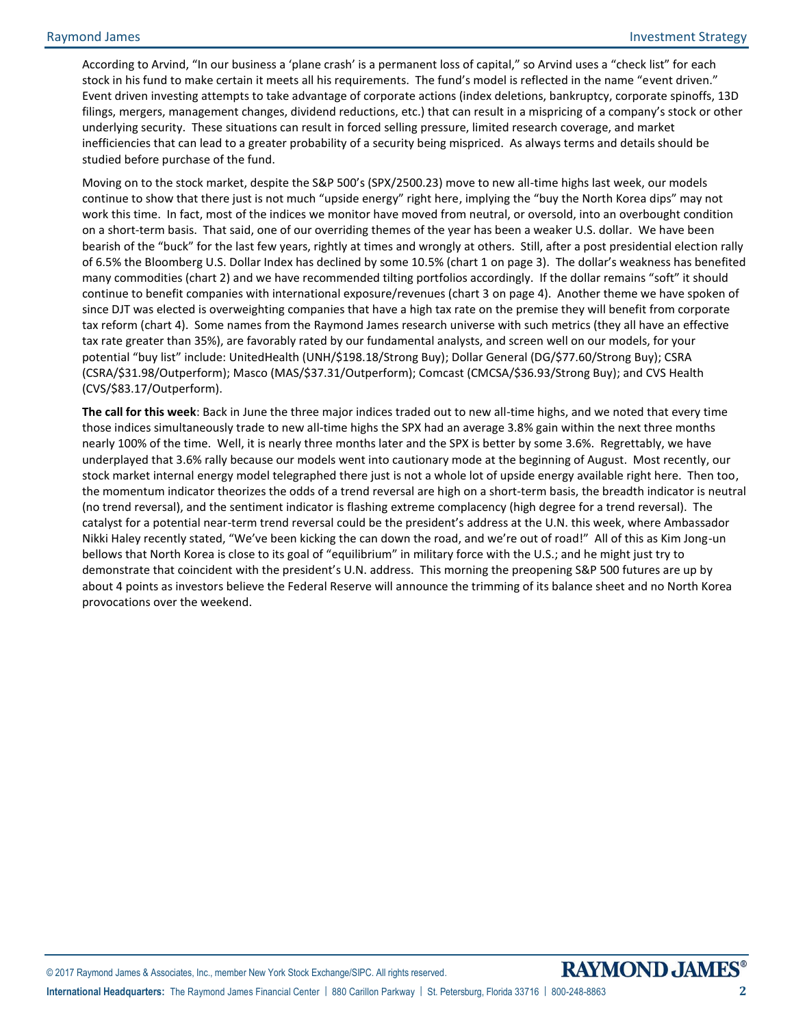According to Arvind, "In our business a 'plane crash' is a permanent loss of capital," so Arvind uses a "check list" for each stock in his fund to make certain it meets all his requirements. The fund's model is reflected in the name "event driven." Event driven investing attempts to take advantage of corporate actions (index deletions, bankruptcy, corporate spinoffs, 13D filings, mergers, management changes, dividend reductions, etc.) that can result in a mispricing of a company's stock or other underlying security. These situations can result in forced selling pressure, limited research coverage, and market inefficiencies that can lead to a greater probability of a security being mispriced. As always terms and details should be studied before purchase of the fund.

Moving on to the stock market, despite the S&P 500's (SPX/2500.23) move to new all-time highs last week, our models continue to show that there just is not much "upside energy" right here, implying the "buy the North Korea dips" may not work this time. In fact, most of the indices we monitor have moved from neutral, or oversold, into an overbought condition on a short-term basis. That said, one of our overriding themes of the year has been a weaker U.S. dollar. We have been bearish of the "buck" for the last few years, rightly at times and wrongly at others. Still, after a post presidential election rally of 6.5% the Bloomberg U.S. Dollar Index has declined by some 10.5% (chart 1 on page 3). The dollar's weakness has benefited many commodities (chart 2) and we have recommended tilting portfolios accordingly. If the dollar remains "soft" it should continue to benefit companies with international exposure/revenues (chart 3 on page 4). Another theme we have spoken of since DJT was elected is overweighting companies that have a high tax rate on the premise they will benefit from corporate tax reform (chart 4). Some names from the Raymond James research universe with such metrics (they all have an effective tax rate greater than 35%), are favorably rated by our fundamental analysts, and screen well on our models, for your potential "buy list" include: UnitedHealth (UNH/\$198.18/Strong Buy); Dollar General (DG/\$77.60/Strong Buy); CSRA (CSRA/\$31.98/Outperform); Masco (MAS/\$37.31/Outperform); Comcast (CMCSA/\$36.93/Strong Buy); and CVS Health (CVS/\$83.17/Outperform).

**The call for this week**: Back in June the three major indices traded out to new all-time highs, and we noted that every time those indices simultaneously trade to new all-time highs the SPX had an average 3.8% gain within the next three months nearly 100% of the time. Well, it is nearly three months later and the SPX is better by some 3.6%. Regrettably, we have underplayed that 3.6% rally because our models went into cautionary mode at the beginning of August. Most recently, our stock market internal energy model telegraphed there just is not a whole lot of upside energy available right here. Then too, the momentum indicator theorizes the odds of a trend reversal are high on a short-term basis, the breadth indicator is neutral (no trend reversal), and the sentiment indicator is flashing extreme complacency (high degree for a trend reversal). The catalyst for a potential near-term trend reversal could be the president's address at the U.N. this week, where Ambassador Nikki Haley recently stated, "We've been kicking the can down the road, and we're out of road!" All of this as Kim Jong-un bellows that North Korea is close to its goal of "equilibrium" in military force with the U.S.; and he might just try to demonstrate that coincident with the president's U.N. address. This morning the preopening S&P 500 futures are up by about 4 points as investors believe the Federal Reserve will announce the trimming of its balance sheet and no North Korea provocations over the weekend.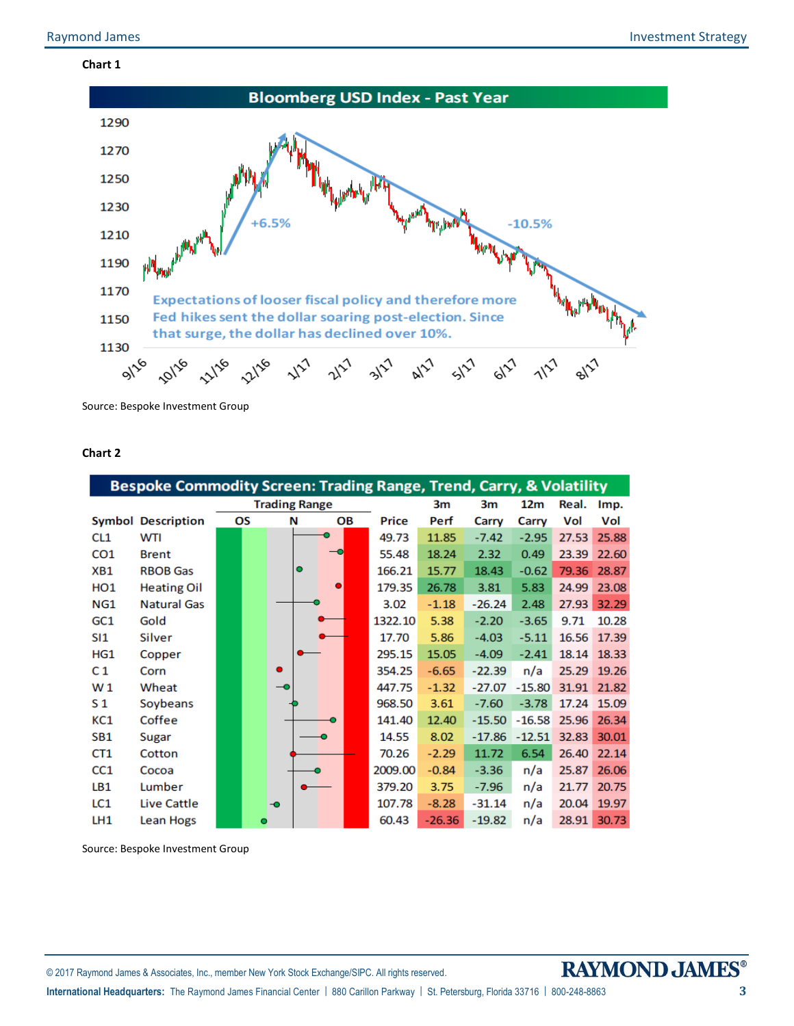## **Chart 1**



Source: Bespoke Investment Group

## **Chart 2**

|                 | Bespoke Commodity Screen: Trading Range, Trend, Carry, & Volatility |                      |    |           |           |    |              |                 |          |          |       |             |
|-----------------|---------------------------------------------------------------------|----------------------|----|-----------|-----------|----|--------------|-----------------|----------|----------|-------|-------------|
|                 |                                                                     | <b>Trading Range</b> |    |           |           | 3m | 3m           | 12 <sub>m</sub> | Real.    | Imp.     |       |             |
|                 | <b>Symbol Description</b>                                           |                      | OS |           | N         | OВ | <b>Price</b> | Perf            | Carry    | Carry    | Vol   | Vol         |
| CL <sub>1</sub> | <b>WTI</b>                                                          |                      |    |           |           |    | 49.73        | 11.85           | $-7.42$  | $-2.95$  | 27.53 | 25.88       |
| CO <sub>1</sub> | <b>Brent</b>                                                        |                      |    |           |           |    | 55.48        | 18.24           | 2.32     | 0.49     | 23.39 | 22.60       |
| XB1             | <b>RBOB Gas</b>                                                     |                      |    |           | $\bullet$ |    | 166.21       | 15.77           | 18.43    | $-0.62$  | 79.36 | 28.87       |
| HO <sub>1</sub> | <b>Heating Oil</b>                                                  |                      |    |           |           |    | 179.35       | 26.78           | 3.81     | 5.83     | 24.99 | 23.08       |
| NG1             | <b>Natural Gas</b>                                                  |                      |    |           |           |    | 3.02         | $-1.18$         | $-26.24$ | 2.48     | 27.93 | 32.29       |
| GC <sub>1</sub> | Gold                                                                |                      |    |           |           |    | 1322.10      | 5.38            | $-2.20$  | $-3.65$  | 9.71  | 10.28       |
| SI1             | Silver                                                              |                      |    |           |           |    | 17.70        | 5.86            | $-4.03$  | $-5.11$  | 16.56 | 17.39       |
| HG1             | Copper                                                              |                      |    |           |           |    | 295.15       | 15.05           | $-4.09$  | $-2.41$  | 18.14 | 18.33       |
| C <sub>1</sub>  | Corn                                                                |                      |    | $\bullet$ |           |    | 354.25       | $-6.65$         | $-22.39$ | n/a      | 25.29 | 19.26       |
| W <sub>1</sub>  | Wheat                                                               |                      |    |           |           |    | 447.75       | $-1.32$         | $-27.07$ | $-15.80$ | 31.91 | 21.82       |
| S <sub>1</sub>  | Soybeans                                                            |                      |    |           |           |    | 968.50       | 3.61            | $-7.60$  | $-3.78$  |       | 17.24 15.09 |
| KC1             | Coffee                                                              |                      |    |           |           |    | 141.40       | 12.40           | $-15.50$ | $-16.58$ | 25.96 | 26.34       |
| SB <sub>1</sub> | Sugar                                                               |                      |    |           |           |    | 14.55        | 8.02            | $-17.86$ | $-12.51$ | 32.83 | 30.01       |
| CT <sub>1</sub> | Cotton                                                              |                      |    |           |           |    | 70.26        | $-2.29$         | 11.72    | 6.54     | 26.40 | 22.14       |
| CC1             | Cocoa                                                               |                      |    |           |           |    | 2009.00      | $-0.84$         | $-3.36$  | n/a      | 25.87 | 26.06       |
| LB1             | Lumber                                                              |                      |    |           |           |    | 379.20       | 3.75            | $-7.96$  | n/a      | 21.77 | 20.75       |
| LC1             | Live Cattle                                                         |                      |    | ⊸         |           |    | 107.78       | $-8.28$         | $-31.14$ | n/a      | 20.04 | 19.97       |
| LH1             | Lean Hogs                                                           |                      | o  |           |           |    | 60.43        | $-26.36$        | $-19.82$ | n/a      | 28.91 | 30.73       |

Source: Bespoke Investment Group

© 2017 Raymond James & Associates, Inc., member New York Stock Exchange/SIPC. All rights reserved.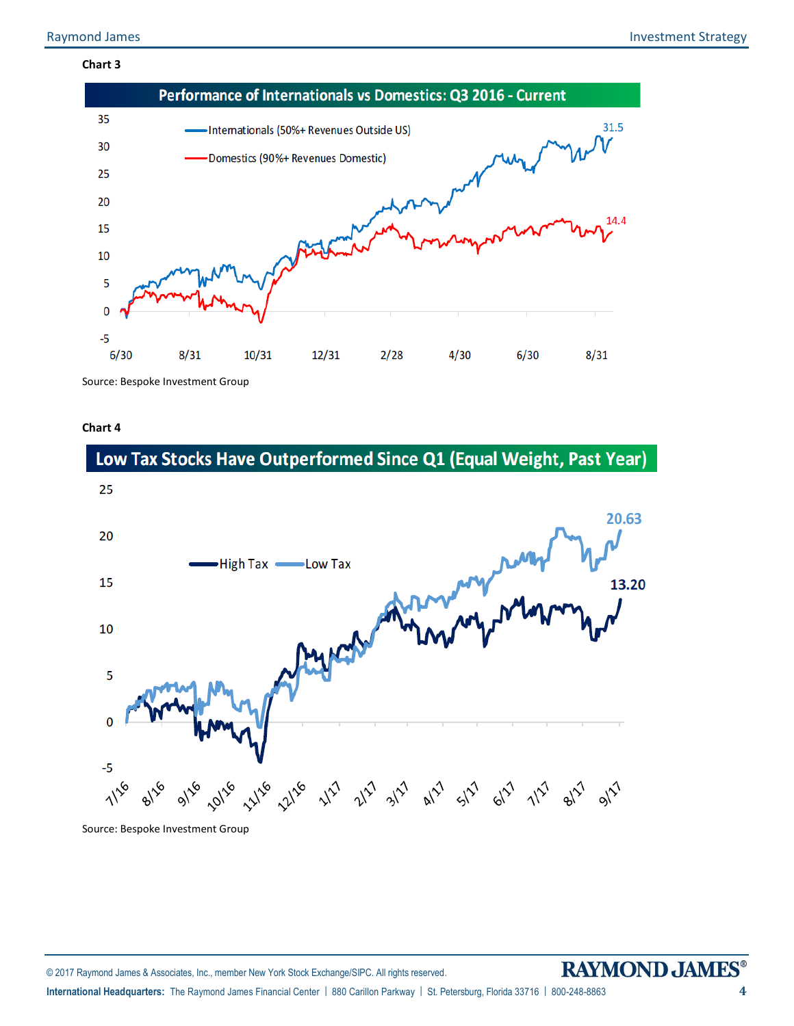## **Chart 3**



**Chart 4**





Source: Bespoke Investment Group

# **RAYMOND JAMES®**

**International Headquarters:** The Raymond James Financial Center | 880 Carillon Parkway | St. Petersburg, Florida 33716 | 800-248-8863 **4**

© 2017 Raymond James & Associates, Inc., member New York Stock Exchange/SIPC. All rights reserved.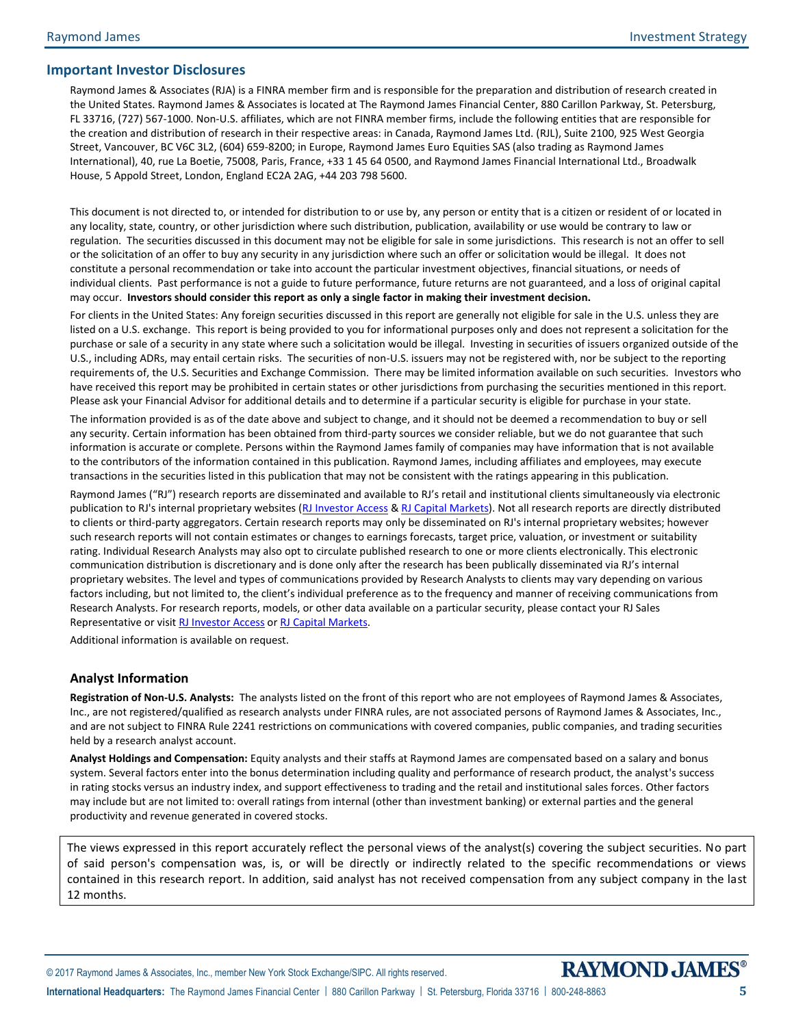## **Important Investor Disclosures**

Raymond James & Associates (RJA) is a FINRA member firm and is responsible for the preparation and distribution of research created in the United States. Raymond James & Associates is located at The Raymond James Financial Center, 880 Carillon Parkway, St. Petersburg, FL 33716, (727) 567-1000. Non-U.S. affiliates, which are not FINRA member firms, include the following entities that are responsible for the creation and distribution of research in their respective areas: in Canada, Raymond James Ltd. (RJL), Suite 2100, 925 West Georgia Street, Vancouver, BC V6C 3L2, (604) 659-8200; in Europe, Raymond James Euro Equities SAS (also trading as Raymond James International), 40, rue La Boetie, 75008, Paris, France, +33 1 45 64 0500, and Raymond James Financial International Ltd., Broadwalk House, 5 Appold Street, London, England EC2A 2AG, +44 203 798 5600.

This document is not directed to, or intended for distribution to or use by, any person or entity that is a citizen or resident of or located in any locality, state, country, or other jurisdiction where such distribution, publication, availability or use would be contrary to law or regulation. The securities discussed in this document may not be eligible for sale in some jurisdictions. This research is not an offer to sell or the solicitation of an offer to buy any security in any jurisdiction where such an offer or solicitation would be illegal. It does not constitute a personal recommendation or take into account the particular investment objectives, financial situations, or needs of individual clients. Past performance is not a guide to future performance, future returns are not guaranteed, and a loss of original capital may occur. **Investors should consider this report as only a single factor in making their investment decision.**

For clients in the United States: Any foreign securities discussed in this report are generally not eligible for sale in the U.S. unless they are listed on a U.S. exchange. This report is being provided to you for informational purposes only and does not represent a solicitation for the purchase or sale of a security in any state where such a solicitation would be illegal. Investing in securities of issuers organized outside of the U.S., including ADRs, may entail certain risks. The securities of non-U.S. issuers may not be registered with, nor be subject to the reporting requirements of, the U.S. Securities and Exchange Commission. There may be limited information available on such securities. Investors who have received this report may be prohibited in certain states or other jurisdictions from purchasing the securities mentioned in this report. Please ask your Financial Advisor for additional details and to determine if a particular security is eligible for purchase in your state.

The information provided is as of the date above and subject to change, and it should not be deemed a recommendation to buy or sell any security. Certain information has been obtained from third-party sources we consider reliable, but we do not guarantee that such information is accurate or complete. Persons within the Raymond James family of companies may have information that is not available to the contributors of the information contained in this publication. Raymond James, including affiliates and employees, may execute transactions in the securities listed in this publication that may not be consistent with the ratings appearing in this publication.

Raymond James ("RJ") research reports are disseminated and available to RJ's retail and institutional clients simultaneously via electronic publication to RJ's internal proprietary websites [\(RJ Investor Access](https://urldefense.proofpoint.com/v2/url?u=https-3A__investoraccess.rjf.com_&d=CwMFAg&c=Od00qP2XTg0tXf_H69-T2w&r=rNefLiWFkSilhqVDo70w43i53TsltTjCWk3T7beArK4&m=PC3IXwh9yes797fhP8lxVmKOzaJCoi7yXoDL8EwSFBo&s=y3WQdEai7OJL0j0ejHq1auUdg8kPQfDCBMkmD2HMOkE&e=) [& RJ Capital Markets\)](https://urldefense.proofpoint.com/v2/url?u=https-3A__www.rjcapitalmarkets.com_Logon_Index&d=CwMFAg&c=Od00qP2XTg0tXf_H69-T2w&r=rNefLiWFkSilhqVDo70w43i53TsltTjCWk3T7beArK4&m=PC3IXwh9yes797fhP8lxVmKOzaJCoi7yXoDL8EwSFBo&s=mLGRTdxZ5EwPQ9maeBsF0fvXad1Tt0SL_21LNPN2LVA&e=). Not all research reports are directly distributed to clients or third-party aggregators. Certain research reports may only be disseminated on RJ's internal proprietary websites; however such research reports will not contain estimates or changes to earnings forecasts, target price, valuation, or investment or suitability rating. Individual Research Analysts may also opt to circulate published research to one or more clients electronically. This electronic communication distribution is discretionary and is done only after the research has been publically disseminated via RJ's internal proprietary websites. The level and types of communications provided by Research Analysts to clients may vary depending on various factors including, but not limited to, the client's individual preference as to the frequency and manner of receiving communications from Research Analysts. For research reports, models, or other data available on a particular security, please contact your RJ Sales Representative or visit [RJ Investor Access](https://urldefense.proofpoint.com/v2/url?u=https-3A__investoraccess.rjf.com_&d=CwMFAg&c=Od00qP2XTg0tXf_H69-T2w&r=rNefLiWFkSilhqVDo70w43i53TsltTjCWk3T7beArK4&m=PC3IXwh9yes797fhP8lxVmKOzaJCoi7yXoDL8EwSFBo&s=y3WQdEai7OJL0j0ejHq1auUdg8kPQfDCBMkmD2HMOkE&e=) o[r RJ Capital Markets.](https://urldefense.proofpoint.com/v2/url?u=https-3A__www.rjcapitalmarkets.com_Logon_Index&d=CwMFAg&c=Od00qP2XTg0tXf_H69-T2w&r=rNefLiWFkSilhqVDo70w43i53TsltTjCWk3T7beArK4&m=PC3IXwh9yes797fhP8lxVmKOzaJCoi7yXoDL8EwSFBo&s=mLGRTdxZ5EwPQ9maeBsF0fvXad1Tt0SL_21LNPN2LVA&e=)

Additional information is available on request.

## **Analyst Information**

**Registration of Non-U.S. Analysts:** The analysts listed on the front of this report who are not employees of Raymond James & Associates, Inc., are not registered/qualified as research analysts under FINRA rules, are not associated persons of Raymond James & Associates, Inc., and are not subject to FINRA Rule 2241 restrictions on communications with covered companies, public companies, and trading securities held by a research analyst account.

**Analyst Holdings and Compensation:** Equity analysts and their staffs at Raymond James are compensated based on a salary and bonus system. Several factors enter into the bonus determination including quality and performance of research product, the analyst's success in rating stocks versus an industry index, and support effectiveness to trading and the retail and institutional sales forces. Other factors may include but are not limited to: overall ratings from internal (other than investment banking) or external parties and the general productivity and revenue generated in covered stocks.

The views expressed in this report accurately reflect the personal views of the analyst(s) covering the subject securities. No part of said person's compensation was, is, or will be directly or indirectly related to the specific recommendations or views contained in this research report. In addition, said analyst has not received compensation from any subject company in the last 12 months.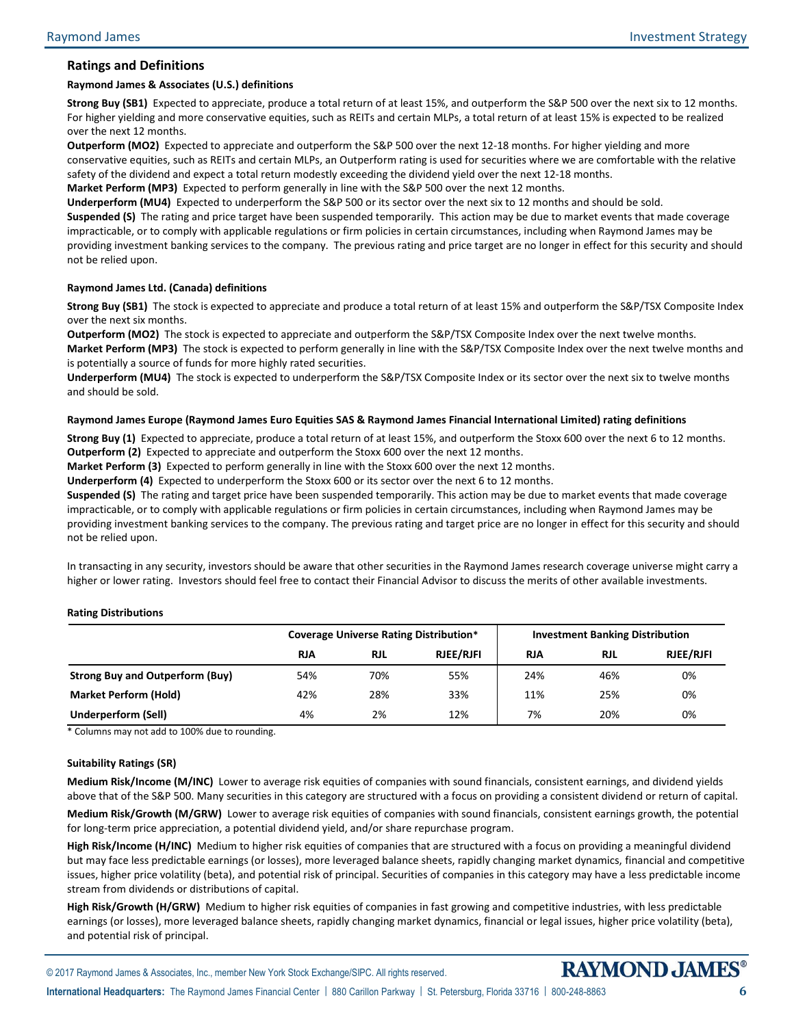## **Ratings and Definitions**

#### **Raymond James & Associates (U.S.) definitions**

**Strong Buy (SB1)** Expected to appreciate, produce a total return of at least 15%, and outperform the S&P 500 over the next six to 12 months. For higher yielding and more conservative equities, such as REITs and certain MLPs, a total return of at least 15% is expected to be realized over the next 12 months.

**Outperform (MO2)** Expected to appreciate and outperform the S&P 500 over the next 12-18 months. For higher yielding and more conservative equities, such as REITs and certain MLPs, an Outperform rating is used for securities where we are comfortable with the relative safety of the dividend and expect a total return modestly exceeding the dividend yield over the next 12-18 months.

**Market Perform (MP3)** Expected to perform generally in line with the S&P 500 over the next 12 months.

**Underperform (MU4)** Expected to underperform the S&P 500 or its sector over the next six to 12 months and should be sold. **Suspended (S)** The rating and price target have been suspended temporarily. This action may be due to market events that made coverage impracticable, or to comply with applicable regulations or firm policies in certain circumstances, including when Raymond James may be providing investment banking services to the company. The previous rating and price target are no longer in effect for this security and should not be relied upon.

#### **Raymond James Ltd. (Canada) definitions**

**Strong Buy (SB1)** The stock is expected to appreciate and produce a total return of at least 15% and outperform the S&P/TSX Composite Index over the next six months.

**Outperform (MO2)** The stock is expected to appreciate and outperform the S&P/TSX Composite Index over the next twelve months. **Market Perform (MP3)** The stock is expected to perform generally in line with the S&P/TSX Composite Index over the next twelve months and is potentially a source of funds for more highly rated securities.

**Underperform (MU4)** The stock is expected to underperform the S&P/TSX Composite Index or its sector over the next six to twelve months and should be sold.

#### **Raymond James Europe (Raymond James Euro Equities SAS & Raymond James Financial International Limited) rating definitions**

**Strong Buy (1)** Expected to appreciate, produce a total return of at least 15%, and outperform the Stoxx 600 over the next 6 to 12 months. **Outperform (2)** Expected to appreciate and outperform the Stoxx 600 over the next 12 months.

**Market Perform (3)** Expected to perform generally in line with the Stoxx 600 over the next 12 months.

**Underperform (4)** Expected to underperform the Stoxx 600 or its sector over the next 6 to 12 months.

**Suspended (S)** The rating and target price have been suspended temporarily. This action may be due to market events that made coverage impracticable, or to comply with applicable regulations or firm policies in certain circumstances, including when Raymond James may be providing investment banking services to the company. The previous rating and target price are no longer in effect for this security and should not be relied upon.

In transacting in any security, investors should be aware that other securities in the Raymond James research coverage universe might carry a higher or lower rating. Investors should feel free to contact their Financial Advisor to discuss the merits of other available investments.

#### **Rating Distributions**

|                                        |            | <b>Coverage Universe Rating Distribution*</b> |                  | <b>Investment Banking Distribution</b> |            |                  |  |
|----------------------------------------|------------|-----------------------------------------------|------------------|----------------------------------------|------------|------------------|--|
|                                        | <b>RJA</b> | <b>RJL</b>                                    | <b>RJEE/RJFI</b> | <b>RJA</b>                             | <b>RJL</b> | <b>RJEE/RJFI</b> |  |
| <b>Strong Buy and Outperform (Buy)</b> | 54%        | 70%                                           | 55%              | 24%                                    | 46%        | 0%               |  |
| <b>Market Perform (Hold)</b>           | 42%        | 28%                                           | 33%              | 11%                                    | 25%        | 0%               |  |
| <b>Underperform (Sell)</b>             | 4%         | 2%                                            | 12%              | 7%                                     | 20%        | 0%               |  |

\* Columns may not add to 100% due to rounding.

#### **Suitability Ratings (SR)**

**Medium Risk/Income (M/INC)** Lower to average risk equities of companies with sound financials, consistent earnings, and dividend yields above that of the S&P 500. Many securities in this category are structured with a focus on providing a consistent dividend or return of capital.

**Medium Risk/Growth (M/GRW)** Lower to average risk equities of companies with sound financials, consistent earnings growth, the potential for long-term price appreciation, a potential dividend yield, and/or share repurchase program.

**High Risk/Income (H/INC)** Medium to higher risk equities of companies that are structured with a focus on providing a meaningful dividend but may face less predictable earnings (or losses), more leveraged balance sheets, rapidly changing market dynamics, financial and competitive issues, higher price volatility (beta), and potential risk of principal. Securities of companies in this category may have a less predictable income stream from dividends or distributions of capital.

**High Risk/Growth (H/GRW)** Medium to higher risk equities of companies in fast growing and competitive industries, with less predictable earnings (or losses), more leveraged balance sheets, rapidly changing market dynamics, financial or legal issues, higher price volatility (beta), and potential risk of principal.

**International Headquarters:** The Raymond James Financial Center | 880 Carillon Parkway | St. Petersburg, Florida 33716 | 800-248-8863 **6**

© 2017 Raymond James & Associates, Inc., member New York Stock Exchange/SIPC. All rights reserved.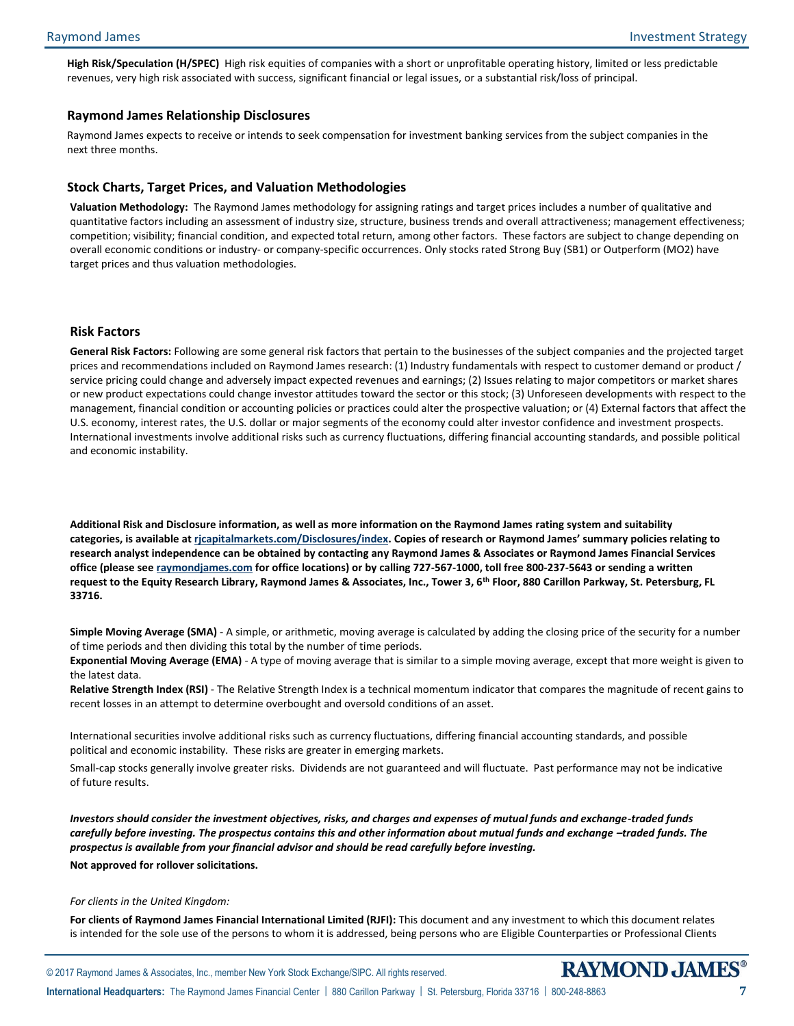**High Risk/Speculation (H/SPEC)** High risk equities of companies with a short or unprofitable operating history, limited or less predictable revenues, very high risk associated with success, significant financial or legal issues, or a substantial risk/loss of principal.

#### **Raymond James Relationship Disclosures**

Raymond James expects to receive or intends to seek compensation for investment banking services from the subject companies in the next three months.

#### **Stock Charts, Target Prices, and Valuation Methodologies**

**Valuation Methodology:** The Raymond James methodology for assigning ratings and target prices includes a number of qualitative and quantitative factors including an assessment of industry size, structure, business trends and overall attractiveness; management effectiveness; competition; visibility; financial condition, and expected total return, among other factors. These factors are subject to change depending on overall economic conditions or industry- or company-specific occurrences. Only stocks rated Strong Buy (SB1) or Outperform (MO2) have target prices and thus valuation methodologies.

#### **Risk Factors**

**General Risk Factors:** Following are some general risk factors that pertain to the businesses of the subject companies and the projected target prices and recommendations included on Raymond James research: (1) Industry fundamentals with respect to customer demand or product / service pricing could change and adversely impact expected revenues and earnings; (2) Issues relating to major competitors or market shares or new product expectations could change investor attitudes toward the sector or this stock; (3) Unforeseen developments with respect to the management, financial condition or accounting policies or practices could alter the prospective valuation; or (4) External factors that affect the U.S. economy, interest rates, the U.S. dollar or major segments of the economy could alter investor confidence and investment prospects. International investments involve additional risks such as currency fluctuations, differing financial accounting standards, and possible political and economic instability.

**Additional Risk and Disclosure information, as well as more information on the Raymond James rating system and suitability categories, is available at [rjcapitalmarkets.com/Disclosures/index](http://www.rjcapitalmarkets.com/Disclosures/index). Copies of research or Raymond James' summary policies relating to research analyst independence can be obtained by contacting any Raymond James & Associates or Raymond James Financial Services office (please se[e raymondjames.com](http://www.raymondjames.com/) for office locations) or by calling 727-567-1000, toll free 800-237-5643 or sending a written request to the Equity Research Library, Raymond James & Associates, Inc., Tower 3, 6th Floor, 880 Carillon Parkway, St. Petersburg, FL 33716.**

**Simple Moving Average (SMA)** - A simple, or arithmetic, moving average is calculated by adding the closing price of the security for a number of time periods and then dividing this total by the number of time periods.

**Exponential Moving Average (EMA)** - A type of moving average that is similar to a simple moving average, except that more weight is given to the latest data.

**Relative Strength Index (RSI)** - The Relative Strength Index is a technical momentum indicator that compares the magnitude of recent gains to recent losses in an attempt to determine overbought and oversold conditions of an asset.

International securities involve additional risks such as currency fluctuations, differing financial accounting standards, and possible political and economic instability. These risks are greater in emerging markets.

Small-cap stocks generally involve greater risks. Dividends are not guaranteed and will fluctuate. Past performance may not be indicative of future results.

*Investors should consider the investment objectives, risks, and charges and expenses of mutual funds and exchange-traded funds carefully before investing. The prospectus contains this and other information about mutual funds and exchange -traded funds. The prospectus is available from your financial advisor and should be read carefully before investing.* **Not approved for rollover solicitations.**

#### *For clients in the United Kingdom:*

**For clients of Raymond James Financial International Limited (RJFI):** This document and any investment to which this document relates is intended for the sole use of the persons to whom it is addressed, being persons who are Eligible Counterparties or Professional Clients